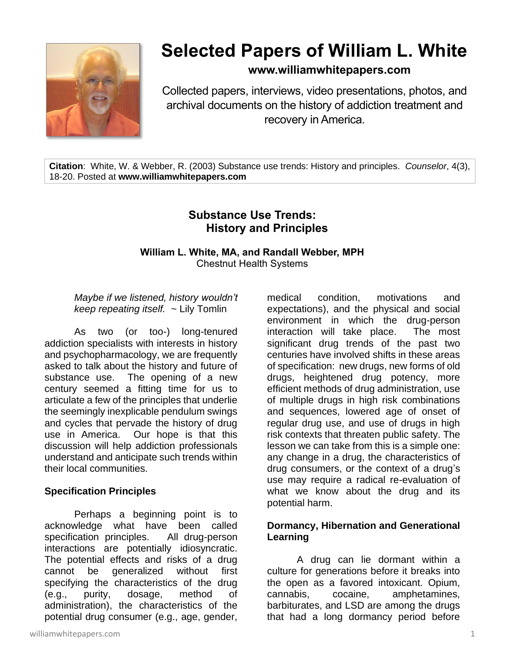

# **Selected Papers of William L. White**

## **www.williamwhitepapers.com**

Collected papers, interviews, video presentations, photos, and archival documents on the history of addiction treatment and recovery in America.

**Citation**: White, W. & Webber, R. (2003) Substance use trends: History and principles. *Counselor*, 4(3), 18-20. Posted at **www.williamwhitepapers.com**

## **Substance Use Trends: History and Principles**

### **William L. White, MA, and Randall Webber, MPH** Chestnut Health Systems

### *Maybe if we listened, history wouldn't keep repeating itself.* ~ Lily Tomlin

As two (or too-) long-tenured addiction specialists with interests in history and psychopharmacology, we are frequently asked to talk about the history and future of substance use. The opening of a new century seemed a fitting time for us to articulate a few of the principles that underlie the seemingly inexplicable pendulum swings and cycles that pervade the history of drug use in America. Our hope is that this discussion will help addiction professionals understand and anticipate such trends within their local communities.

#### **Specification Principles**

Perhaps a beginning point is to acknowledge what have been called specification principles. All drug-person interactions are potentially idiosyncratic. The potential effects and risks of a drug cannot be generalized without first specifying the characteristics of the drug (e.g., purity, dosage, method of administration), the characteristics of the potential drug consumer (e.g., age, gender, medical condition, motivations and expectations), and the physical and social environment in which the drug-person interaction will take place. The most significant drug trends of the past two centuries have involved shifts in these areas of specification: new drugs, new forms of old drugs, heightened drug potency, more efficient methods of drug administration, use of multiple drugs in high risk combinations and sequences, lowered age of onset of regular drug use, and use of drugs in high risk contexts that threaten public safety. The lesson we can take from this is a simple one: any change in a drug, the characteristics of drug consumers, or the context of a drug's use may require a radical re-evaluation of what we know about the drug and its potential harm.

## **Dormancy, Hibernation and Generational Learning**

A drug can lie dormant within a culture for generations before it breaks into the open as a favored intoxicant. Opium, cannabis, cocaine, amphetamines, barbiturates, and LSD are among the drugs that had a long dormancy period before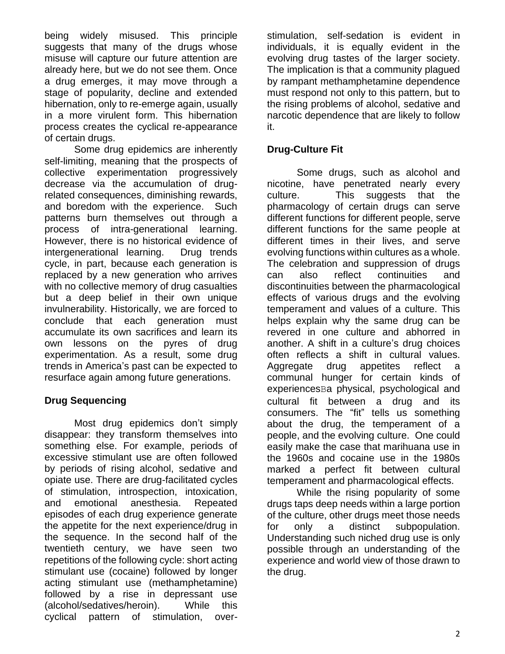being widely misused. This principle suggests that many of the drugs whose misuse will capture our future attention are already here, but we do not see them. Once a drug emerges, it may move through a stage of popularity, decline and extended hibernation, only to re-emerge again, usually in a more virulent form. This hibernation process creates the cyclical re-appearance of certain drugs.

Some drug epidemics are inherently self-limiting, meaning that the prospects of collective experimentation progressively decrease via the accumulation of drugrelated consequences, diminishing rewards, and boredom with the experience. Such patterns burn themselves out through a process of intra-generational learning. However, there is no historical evidence of intergenerational learning. Drug trends cycle, in part, because each generation is replaced by a new generation who arrives with no collective memory of drug casualties but a deep belief in their own unique invulnerability. Historically, we are forced to conclude that each generation must accumulate its own sacrifices and learn its own lessons on the pyres of drug experimentation. As a result, some drug trends in America's past can be expected to resurface again among future generations.

## **Drug Sequencing**

Most drug epidemics don't simply disappear: they transform themselves into something else. For example, periods of excessive stimulant use are often followed by periods of rising alcohol, sedative and opiate use. There are drug-facilitated cycles of stimulation, introspection, intoxication, and emotional anesthesia. Repeated episodes of each drug experience generate the appetite for the next experience/drug in the sequence. In the second half of the twentieth century, we have seen two repetitions of the following cycle: short acting stimulant use (cocaine) followed by longer acting stimulant use (methamphetamine) followed by a rise in depressant use (alcohol/sedatives/heroin). While this cyclical pattern of stimulation, overstimulation, self-sedation is evident in individuals, it is equally evident in the evolving drug tastes of the larger society. The implication is that a community plagued by rampant methamphetamine dependence must respond not only to this pattern, but to the rising problems of alcohol, sedative and narcotic dependence that are likely to follow it.

## **Drug-Culture Fit**

Some drugs, such as alcohol and nicotine, have penetrated nearly every culture. This suggests that the pharmacology of certain drugs can serve different functions for different people, serve different functions for the same people at different times in their lives, and serve evolving functions within cultures as a whole. The celebration and suppression of drugs can also reflect continuities and discontinuities between the pharmacological effects of various drugs and the evolving temperament and values of a culture. This helps explain why the same drug can be revered in one culture and abhorred in another. A shift in a culture's drug choices often reflects a shift in cultural values. Aggregate drug appetites reflect a communal hunger for certain kinds of experiencesBa physical, psychological and cultural fit between a drug and its consumers. The "fit" tells us something about the drug, the temperament of a people, and the evolving culture. One could easily make the case that marihuana use in the 1960s and cocaine use in the 1980s marked a perfect fit between cultural temperament and pharmacological effects.

While the rising popularity of some drugs taps deep needs within a large portion of the culture, other drugs meet those needs for only a distinct subpopulation. Understanding such niched drug use is only possible through an understanding of the experience and world view of those drawn to the drug.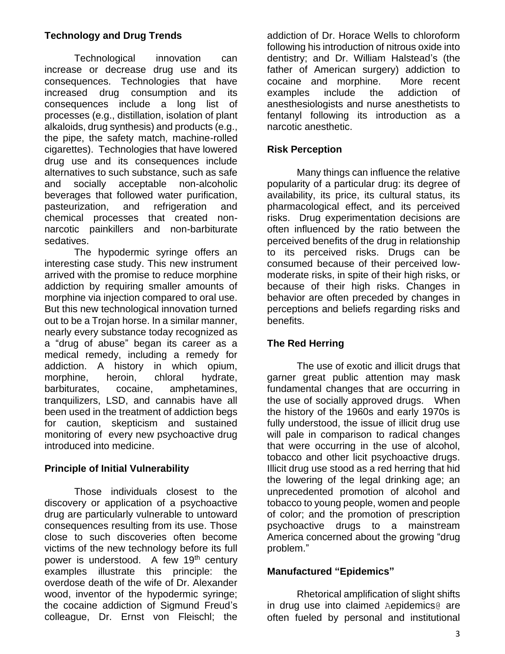## **Technology and Drug Trends**

Technological innovation can increase or decrease drug use and its consequences. Technologies that have increased drug consumption and its consequences include a long list of processes (e.g., distillation, isolation of plant alkaloids, drug synthesis) and products (e.g., the pipe, the safety match, machine-rolled cigarettes). Technologies that have lowered drug use and its consequences include alternatives to such substance, such as safe and socially acceptable non-alcoholic beverages that followed water purification, pasteurization, and refrigeration and chemical processes that created nonnarcotic painkillers and non-barbiturate sedatives.

The hypodermic syringe offers an interesting case study. This new instrument arrived with the promise to reduce morphine addiction by requiring smaller amounts of morphine via injection compared to oral use. But this new technological innovation turned out to be a Trojan horse. In a similar manner, nearly every substance today recognized as a "drug of abuse" began its career as a medical remedy, including a remedy for addiction. A history in which opium, morphine, heroin, chloral hydrate, barbiturates, cocaine, amphetamines, tranquilizers, LSD, and cannabis have all been used in the treatment of addiction begs for caution, skepticism and sustained monitoring of every new psychoactive drug introduced into medicine.

# **Principle of Initial Vulnerability**

Those individuals closest to the discovery or application of a psychoactive drug are particularly vulnerable to untoward consequences resulting from its use. Those close to such discoveries often become victims of the new technology before its full power is understood. A few 19th century examples illustrate this principle: the overdose death of the wife of Dr. Alexander wood, inventor of the hypodermic syringe; the cocaine addiction of Sigmund Freud's colleague, Dr. Ernst von Fleischl; the addiction of Dr. Horace Wells to chloroform following his introduction of nitrous oxide into dentistry; and Dr. William Halstead's (the father of American surgery) addiction to cocaine and morphine. More recent examples include the addiction of anesthesiologists and nurse anesthetists to fentanyl following its introduction as a narcotic anesthetic.

## **Risk Perception**

Many things can influence the relative popularity of a particular drug: its degree of availability, its price, its cultural status, its pharmacological effect, and its perceived risks. Drug experimentation decisions are often influenced by the ratio between the perceived benefits of the drug in relationship to its perceived risks. Drugs can be consumed because of their perceived lowmoderate risks, in spite of their high risks, or because of their high risks. Changes in behavior are often preceded by changes in perceptions and beliefs regarding risks and benefits.

## **The Red Herring**

The use of exotic and illicit drugs that garner great public attention may mask fundamental changes that are occurring in the use of socially approved drugs. When the history of the 1960s and early 1970s is fully understood, the issue of illicit drug use will pale in comparison to radical changes that were occurring in the use of alcohol, tobacco and other licit psychoactive drugs. Illicit drug use stood as a red herring that hid the lowering of the legal drinking age; an unprecedented promotion of alcohol and tobacco to young people, women and people of color; and the promotion of prescription psychoactive drugs to a mainstream America concerned about the growing "drug problem."

## **Manufactured "Epidemics"**

Rhetorical amplification of slight shifts in drug use into claimed Aepidemics@ are often fueled by personal and institutional